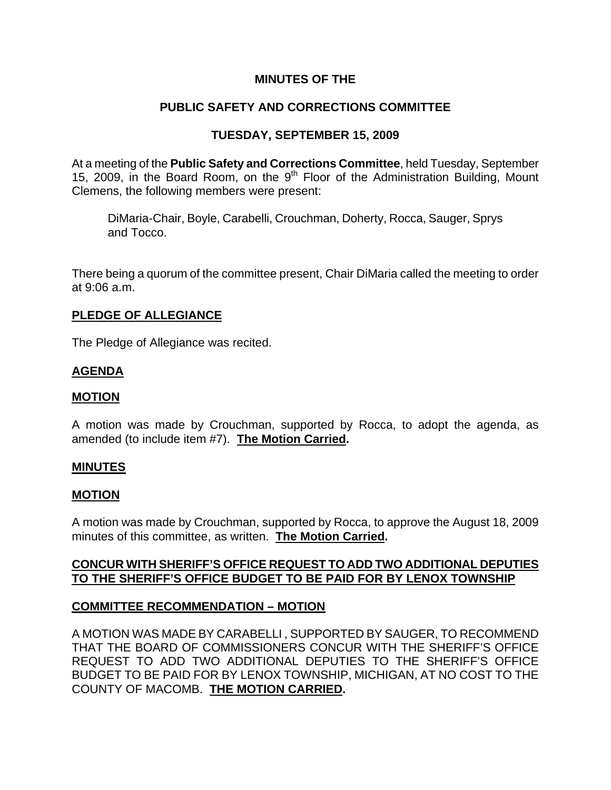## **MINUTES OF THE**

# **PUBLIC SAFETY AND CORRECTIONS COMMITTEE**

## **TUESDAY, SEPTEMBER 15, 2009**

At a meeting of the **Public Safety and Corrections Committee**, held Tuesday, September 15, 2009, in the Board Room, on the 9<sup>th</sup> Floor of the Administration Building, Mount Clemens, the following members were present:

DiMaria-Chair, Boyle, Carabelli, Crouchman, Doherty, Rocca, Sauger, Sprys and Tocco.

There being a quorum of the committee present, Chair DiMaria called the meeting to order at 9:06 a.m.

### **PLEDGE OF ALLEGIANCE**

The Pledge of Allegiance was recited.

### **AGENDA**

#### **MOTION**

A motion was made by Crouchman, supported by Rocca, to adopt the agenda, as amended (to include item #7). **The Motion Carried.** 

#### **MINUTES**

#### **MOTION**

A motion was made by Crouchman, supported by Rocca, to approve the August 18, 2009 minutes of this committee, as written. **The Motion Carried.** 

### **CONCUR WITH SHERIFF'S OFFICE REQUEST TO ADD TWO ADDITIONAL DEPUTIES TO THE SHERIFF'S OFFICE BUDGET TO BE PAID FOR BY LENOX TOWNSHIP**

### **COMMITTEE RECOMMENDATION – MOTION**

A MOTION WAS MADE BY CARABELLI , SUPPORTED BY SAUGER, TO RECOMMEND THAT THE BOARD OF COMMISSIONERS CONCUR WITH THE SHERIFF'S OFFICE REQUEST TO ADD TWO ADDITIONAL DEPUTIES TO THE SHERIFF'S OFFICE BUDGET TO BE PAID FOR BY LENOX TOWNSHIP, MICHIGAN, AT NO COST TO THE COUNTY OF MACOMB. **THE MOTION CARRIED.**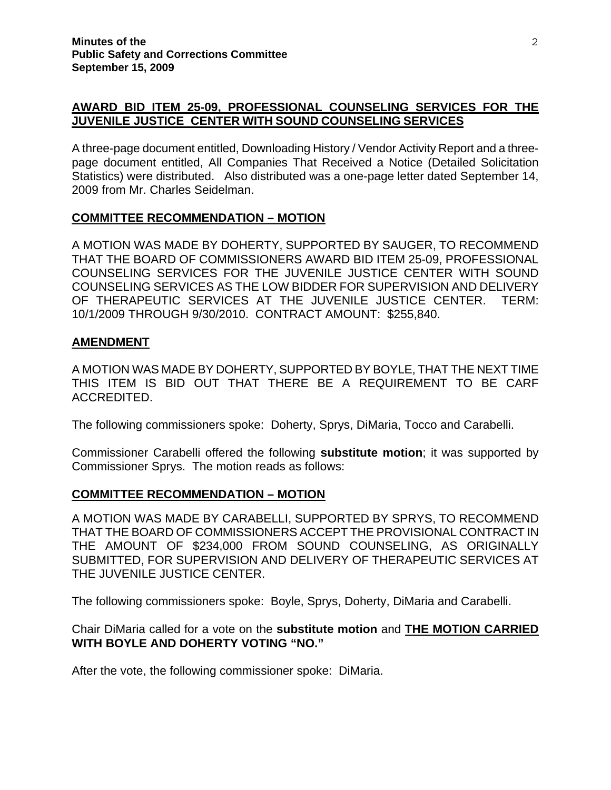## **AWARD BID ITEM 25-09, PROFESSIONAL COUNSELING SERVICES FOR THE JUVENILE JUSTICE CENTER WITH SOUND COUNSELING SERVICES**

A three-page document entitled, Downloading History / Vendor Activity Report and a threepage document entitled, All Companies That Received a Notice (Detailed Solicitation Statistics) were distributed. Also distributed was a one-page letter dated September 14, 2009 from Mr. Charles Seidelman.

## **COMMITTEE RECOMMENDATION – MOTION**

A MOTION WAS MADE BY DOHERTY, SUPPORTED BY SAUGER, TO RECOMMEND THAT THE BOARD OF COMMISSIONERS AWARD BID ITEM 25-09, PROFESSIONAL COUNSELING SERVICES FOR THE JUVENILE JUSTICE CENTER WITH SOUND COUNSELING SERVICES AS THE LOW BIDDER FOR SUPERVISION AND DELIVERY OF THERAPEUTIC SERVICES AT THE JUVENILE JUSTICE CENTER. TERM: 10/1/2009 THROUGH 9/30/2010. CONTRACT AMOUNT: \$255,840.

### **AMENDMENT**

A MOTION WAS MADE BY DOHERTY, SUPPORTED BY BOYLE, THAT THE NEXT TIME THIS ITEM IS BID OUT THAT THERE BE A REQUIREMENT TO BE CARF ACCREDITED.

The following commissioners spoke: Doherty, Sprys, DiMaria, Tocco and Carabelli.

Commissioner Carabelli offered the following **substitute motion**; it was supported by Commissioner Sprys. The motion reads as follows:

### **COMMITTEE RECOMMENDATION – MOTION**

A MOTION WAS MADE BY CARABELLI, SUPPORTED BY SPRYS, TO RECOMMEND THAT THE BOARD OF COMMISSIONERS ACCEPT THE PROVISIONAL CONTRACT IN THE AMOUNT OF \$234,000 FROM SOUND COUNSELING, AS ORIGINALLY SUBMITTED, FOR SUPERVISION AND DELIVERY OF THERAPEUTIC SERVICES AT THE JUVENILE JUSTICE CENTER.

The following commissioners spoke: Boyle, Sprys, Doherty, DiMaria and Carabelli.

### Chair DiMaria called for a vote on the **substitute motion** and **THE MOTION CARRIED WITH BOYLE AND DOHERTY VOTING "NO."**

After the vote, the following commissioner spoke: DiMaria.